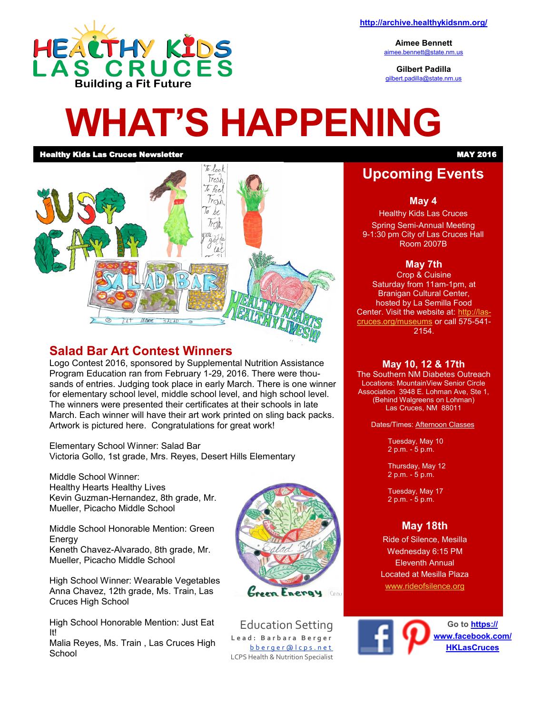

**Aimee Bennett** [aimee.bennett@state.nm.us](mailto:aimee.bennett@state.nm.us)

**Gilbert Padilla** [gilbert.padilla@state.nm.us](mailto:gilbert.padilla@state.nm.us)

# **WHAT'S HAPPENING**

**Healthy Kids Las Cruces Newsletter Manual Community of the Case of the Case of the Case of the Case of the Case of the Case of the Case of the Case of the Case of the Case of the Case of the Case of the Case of the Case o** 



## **Salad Bar Art Contest Winners**

Logo Contest 2016, sponsored by Supplemental Nutrition Assistance Program Education ran from February 1-29, 2016. There were thousands of entries. Judging took place in early March. There is one winner for elementary school level, middle school level, and high school level. The winners were presented their certificates at their schools in late March. Each winner will have their art work printed on sling back packs. Artwork is pictured here. Congratulations for great work!

Elementary School Winner: Salad Bar Victoria Gollo, 1st grade, Mrs. Reyes, Desert Hills Elementary

Middle School Winner: Healthy Hearts Healthy Lives Kevin Guzman-Hernandez, 8th grade, Mr. Mueller, Picacho Middle School

Middle School Honorable Mention: Green **Energy** Keneth Chavez-Alvarado, 8th grade, Mr.

Mueller, Picacho Middle School

High School Winner: Wearable Vegetables Anna Chavez, 12th grade, Ms. Train, Las Cruces High School

High School Honorable Mention: Just Eat It!

Malia Reyes, Ms. Train , Las Cruces High **School** 



Education Setting **L e a d : B a r b a r a B e r g e r** b b e r q e r @ l c p s . n e t LCPS Health & Nutrition Specialist

# **Upcoming Events**

**May 4**

Healthy Kids Las Cruces Spring Semi-Annual Meeting 9-1:30 pm City of Las Cruces Hall Room 2007B

#### **May 7th**

Crop & Cuisine Saturday from 11am-1pm, at Branigan Cultural Center, hosted by La Semilla Food Center. Visit the website at: [http://las](http://las-cruces.org/museums)[cruces.org/museums](http://las-cruces.org/museums) or call 575-541- 2154.

#### **May 10, 12 & 17th**

The Southern NM Diabetes Outreach Locations: MountainView Senior Circle Association 3948 E. Lohman Ave, Ste 1, (Behind Walgreens on Lohman) Las Cruces, NM 88011

Dates/Times: Afternoon Classes

Tuesday, May 10 2 p.m. - 5 p.m.

Thursday, May 12 2 p.m. - 5 p.m.

Tuesday, May 17 2 p.m. - 5 p.m.

## **May 18th**

Ride of Silence, Mesilla Wednesday 6:15 PM Eleventh Annual Located at Mesilla Plaza [www.rideofsilence.org](http://www.rideofsilence.org)

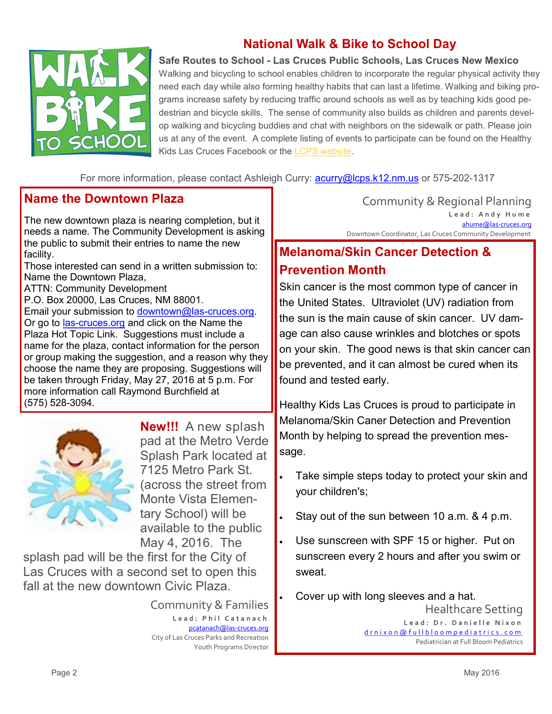

# **National Walk & Bike to School Day**

**Safe Routes to School - Las Cruces Public Schools, Las Cruces New Mexico**  Walking and bicycling to school enables children to incorporate the regular physical activity they need each day while also forming healthy habits that can last a lifetime. Walking and biking programs increase safety by reducing traffic around schools as well as by teaching kids good pedestrian and bicycle skills. The sense of community also builds as children and parents develop walking and bicycling buddies and chat with neighbors on the sidewalk or path. Please join us at any of the event. A complete listing of events to participate can be found on the Healthy Kids Las Cruces Facebook or the [LCPS website.](http://lcps.k12.nm.us/)

For more information, please contact Ashleigh Curry: **[acurry@lcps.k12.nm.us](mailto:acurry@lcps.k12.nm.us)** or 575-202-1317

### **Name the Downtown Plaza**

The new downtown plaza is nearing completion, but it needs a name. The Community Development is asking the public to submit their entries to name the new facility.

Those interested can send in a written submission to: Name the Downtown Plaza,

ATTN: Community Development

P.O. Box 20000, Las Cruces, NM 88001. Email your submission to [downtown@las](mailto:downtown@las-cruces.org)-cruces.org. Or go to las-[cruces.org](http://www.las-cruces.org/) and click on the Name the Plaza Hot Topic Link. Suggestions must include a name for the plaza, contact information for the person or group making the suggestion, and a reason why they choose the name they are proposing. Suggestions will be taken through Friday, May 27, 2016 at 5 p.m. For more information call Raymond Burchfield at (575) 528-3094.



**New!!!** A new splash pad at the Metro Verde Splash Park located at 7125 Metro Park St. (across the street from Monte Vista Elementary School) will be available to the public May 4, 2016. The

splash pad will be the first for the City of Las Cruces with a second set to open this fall at the new downtown Civic Plaza.

> Community & Families Lead: Phil Catanach [pcatanach@las](mailto:mjohnston@las-cruces.org)-cruces.org City of Las Cruces Parks and Recreation Youth Programs Director

Community & Regional Planning **L e a d : A n d y H u m e** [ahume@las](mailto:ahume@las-cruces.org)-cruces.org Downtown Coordinator, Las Cruces Community Development

# **Melanoma/Skin Cancer Detection & Prevention Month**

Skin cancer is the most common type of cancer in the United States. Ultraviolet (UV) radiation from the sun is the main cause of skin cancer. UV damage can also cause wrinkles and blotches or spots on your skin. The good news is that skin cancer can be prevented, and it can almost be cured when its found and tested early.

Healthy Kids Las Cruces is proud to participate in Melanoma/Skin Caner Detection and Prevention Month by helping to spread the prevention message.

- Take simple steps today to protect your skin and your children's;
- Stay out of the sun between 10 a.m. & 4 p.m.
- Use sunscreen with SPF 15 or higher. Put on sunscreen every 2 hours and after you swim or sweat.
- Healthcare Setting Lead: Dr. Danielle Nixon [d r n i x o n @ f u l l b l o o m p e d i a t r i c s . c o m](mailto:drnixon@fullbloompediatrics.com) Pediatrician at Full Bloom Pediatrics Cover up with long sleeves and a hat.